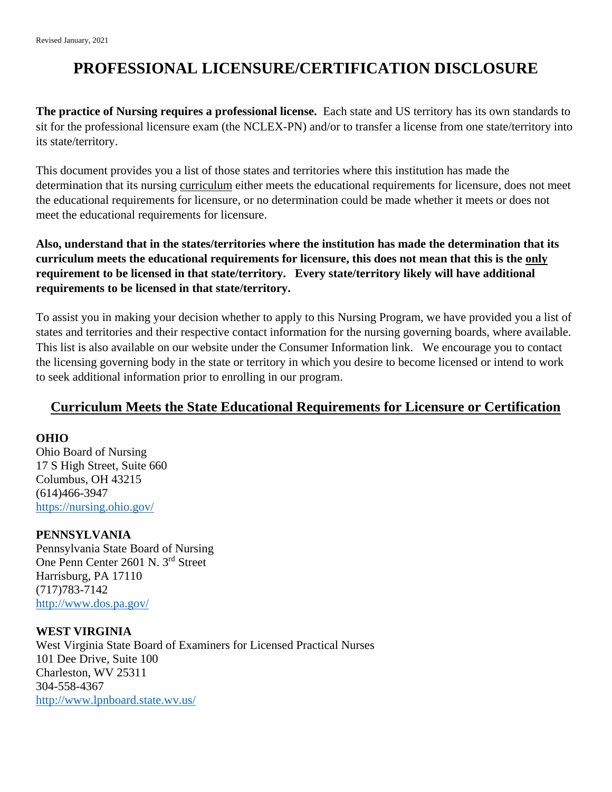# **PROFESSIONAL LICENSURE/CERTIFICATION DISCLOSURE**

**The practice of Nursing requires a professional license.** Each state and US territory has its own standards to sit for the professional licensure exam (the NCLEX-PN) and/or to transfer a license from one state/territory into its state/territory.

This document provides you a list of those states and territories where this institution has made the determination that its nursing curriculum either meets the educational requirements for licensure, does not meet the educational requirements for licensure, or no determination could be made whether it meets or does not meet the educational requirements for licensure.

**Also, understand that in the states/territories where the institution has made the determination that its curriculum meets the educational requirements for licensure, this does not mean that this is the only requirement to be licensed in that state/territory. Every state/territory likely will have additional requirements to be licensed in that state/territory.**

To assist you in making your decision whether to apply to this Nursing Program, we have provided you a list of states and territories and their respective contact information for the nursing governing boards, where available. This list is also available on our website under the Consumer Information link. We encourage you to contact the licensing governing body in the state or territory in which you desire to become licensed or intend to work to seek additional information prior to enrolling in our program.

## **Curriculum Meets the State Educational Requirements for Licensure or Certification**

#### **OHIO**

Ohio Board of Nursing 17 S High Street, Suite 660 Columbus, OH 43215 (614)466-3947 <https://nursing.ohio.gov/>

## **PENNSYLVANIA**

Pennsylvania State Board of Nursing One Penn Center 2601 N. 3rd Street Harrisburg, PA 17110 (717)783-7142 <http://www.dos.pa.gov/>

**WEST VIRGINIA**  West Virginia State Board of Examiners for Licensed Practical Nurses 101 Dee Drive, Suite 100 Charleston, WV 25311 304-558-4367 <http://www.lpnboard.state.wv.us/>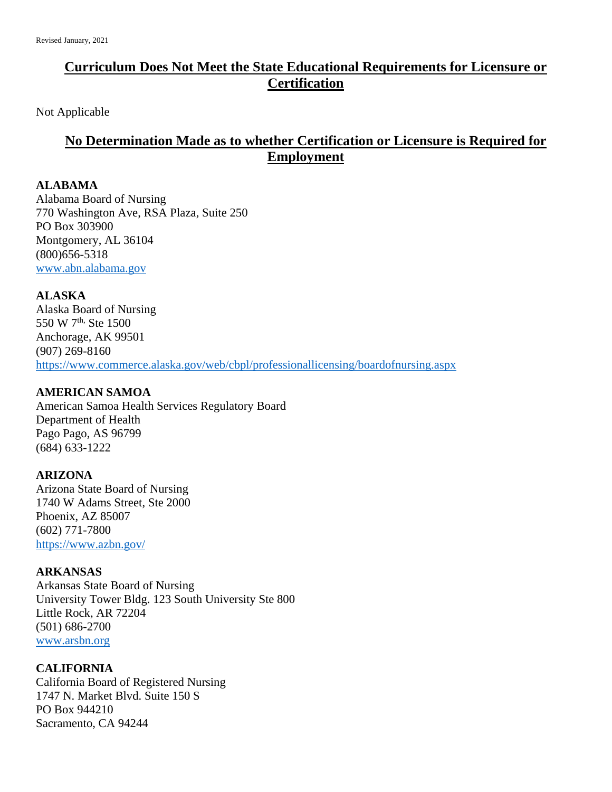## **Curriculum Does Not Meet the State Educational Requirements for Licensure or Certification**

Not Applicable

## **No Determination Made as to whether Certification or Licensure is Required for Employment**

#### **ALABAMA**

Alabama Board of Nursing 770 Washington Ave, RSA Plaza, Suite 250 PO Box 303900 Montgomery, AL 36104 (800)656-5318 [www.abn.alabama.gov](http://www.abn.alabama.gov/)

## **ALASKA**

Alaska Board of Nursing 550 W 7<sup>th,</sup> Ste 1500 Anchorage, AK 99501 (907) 269-8160 <https://www.commerce.alaska.gov/web/cbpl/professionallicensing/boardofnursing.aspx>

## **AMERICAN SAMOA**

American Samoa Health Services Regulatory Board Department of Health Pago Pago, AS 96799 (684) 633-1222

## **ARIZONA**

Arizona State Board of Nursing 1740 W Adams Street, Ste 2000 Phoenix, AZ 85007 (602) 771-7800 <https://www.azbn.gov/>

## **ARKANSAS**

Arkansas State Board of Nursing University Tower Bldg. 123 South University Ste 800 Little Rock, AR 72204 (501) 686-2700 [www.arsbn.org](http://www.arsbn.org/)

## **CALIFORNIA**

California Board of Registered Nursing 1747 N. Market Blvd. Suite 150 S PO Box 944210 Sacramento, CA 94244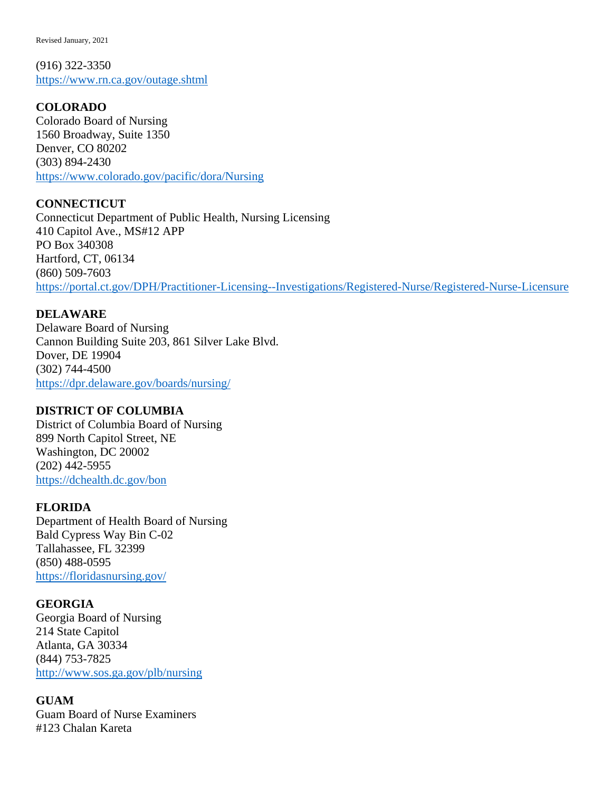(916) 322-3350 <https://www.rn.ca.gov/outage.shtml>

## **COLORADO**

Colorado Board of Nursing 1560 Broadway, Suite 1350 Denver, CO 80202 (303) 894-2430 <https://www.colorado.gov/pacific/dora/Nursing>

## **CONNECTICUT**

Connecticut Department of Public Health, Nursing Licensing 410 Capitol Ave., MS#12 APP PO Box 340308 Hartford, CT, 06134 (860) 509-7603 <https://portal.ct.gov/DPH/Practitioner-Licensing--Investigations/Registered-Nurse/Registered-Nurse-Licensure>

## **DELAWARE**

Delaware Board of Nursing Cannon Building Suite 203, 861 Silver Lake Blvd. Dover, DE 19904 (302) 744-4500 <https://dpr.delaware.gov/boards/nursing/>

## **DISTRICT OF COLUMBIA**

District of Columbia Board of Nursing 899 North Capitol Street, NE Washington, DC 20002 (202) 442-5955 <https://dchealth.dc.gov/bon>

## **FLORIDA**

Department of Health Board of Nursing Bald Cypress Way Bin C-02 Tallahassee, FL 32399 (850) 488-0595 <https://floridasnursing.gov/>

## **GEORGIA**

Georgia Board of Nursing 214 State Capitol Atlanta, GA 30334 (844) 753-7825 <http://www.sos.ga.gov/plb/nursing>

## **GUAM**

Guam Board of Nurse Examiners #123 Chalan Kareta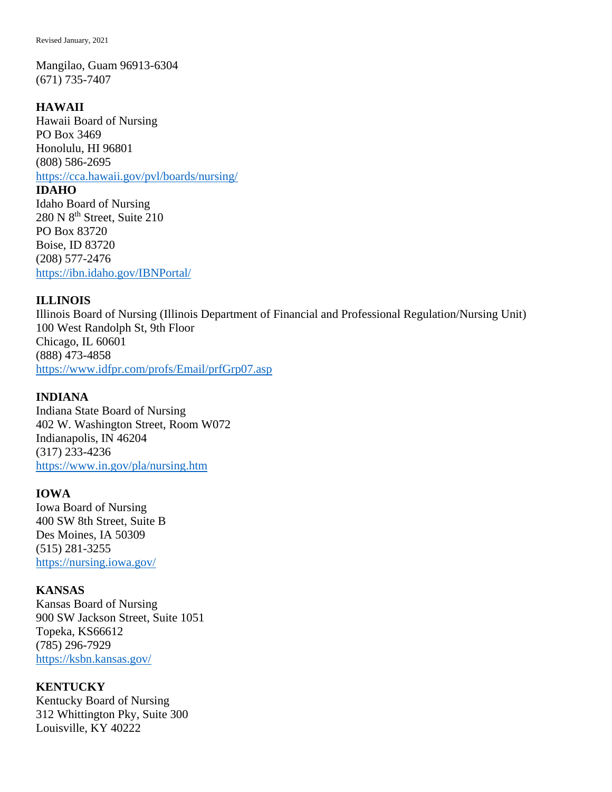Mangilao, Guam 96913-6304 (671) 735-7407

#### **HAWAII**

Hawaii Board of Nursing PO Box 3469 Honolulu, HI 96801 (808) 586-2695 <https://cca.hawaii.gov/pvl/boards/nursing/>

#### **IDAHO**

Idaho Board of Nursing 280 N  $8<sup>th</sup>$  Street, Suite 210 PO Box 83720 Boise, ID 83720 (208) 577-2476 <https://ibn.idaho.gov/IBNPortal/>

#### **ILLINOIS**

Illinois Board of Nursing (Illinois Department of Financial and Professional Regulation/Nursing Unit) 100 West Randolph St, 9th Floor Chicago, IL 60601 (888) 473-4858 <https://www.idfpr.com/profs/Email/prfGrp07.asp>

#### **INDIANA**

Indiana State Board of Nursing 402 W. Washington Street, Room W072 Indianapolis, IN 46204 (317) 233-4236 <https://www.in.gov/pla/nursing.htm>

#### **IOWA**

Iowa Board of Nursing 400 SW 8th Street, Suite B Des Moines, IA 50309 (515) 281-3255 <https://nursing.iowa.gov/>

#### **KANSAS**

Kansas Board of Nursing 900 SW Jackson Street, Suite 1051 Topeka, KS66612 (785) 296-7929 <https://ksbn.kansas.gov/>

#### **KENTUCKY**

Kentucky Board of Nursing 312 Whittington Pky, Suite 300 Louisville, KY 40222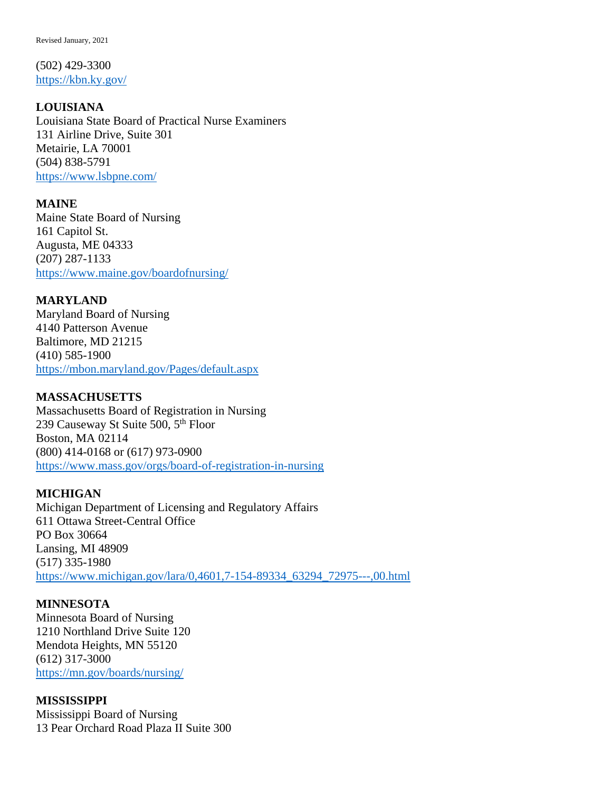(502) 429-3300 <https://kbn.ky.gov/>

## **LOUISIANA**

Louisiana State Board of Practical Nurse Examiners 131 Airline Drive, Suite 301 Metairie, LA 70001 (504) 838-5791 <https://www.lsbpne.com/>

#### **MAINE**

Maine State Board of Nursing 161 Capitol St. Augusta, ME 04333 (207) 287-1133 <https://www.maine.gov/boardofnursing/>

## **MARYLAND**

Maryland Board of Nursing 4140 Patterson Avenue Baltimore, MD 21215 (410) 585-1900 <https://mbon.maryland.gov/Pages/default.aspx>

## **MASSACHUSETTS**

Massachusetts Board of Registration in Nursing 239 Causeway St Suite 500, 5<sup>th</sup> Floor Boston, MA 02114 (800) 414-0168 or (617) 973-0900 <https://www.mass.gov/orgs/board-of-registration-in-nursing>

## **MICHIGAN**

Michigan Department of Licensing and Regulatory Affairs 611 Ottawa Street-Central Office PO Box 30664 Lansing, MI 48909 (517) 335-1980 [https://www.michigan.gov/lara/0,4601,7-154-89334\\_63294\\_72975---,00.html](https://www.michigan.gov/lara/0,4601,7-154-89334_63294_72975---,00.html)

## **MINNESOTA**

Minnesota Board of Nursing 1210 Northland Drive Suite 120 Mendota Heights, MN 55120 (612) 317-3000 <https://mn.gov/boards/nursing/>

## **MISSISSIPPI**

Mississippi Board of Nursing 13 Pear Orchard Road Plaza II Suite 300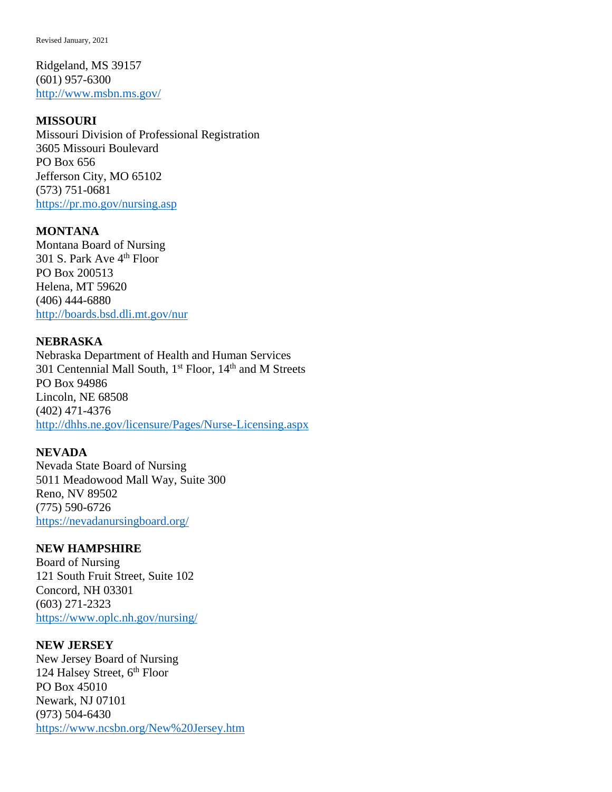Ridgeland, MS 39157 (601) 957-6300 <http://www.msbn.ms.gov/>

#### **MISSOURI**

Missouri Division of Professional Registration 3605 Missouri Boulevard PO Box 656 Jefferson City, MO 65102 (573) 751-0681 <https://pr.mo.gov/nursing.asp>

#### **MONTANA**

Montana Board of Nursing 301 S. Park Ave 4<sup>th</sup> Floor PO Box 200513 Helena, MT 59620 (406) 444-6880 <http://boards.bsd.dli.mt.gov/nur>

#### **NEBRASKA**

Nebraska Department of Health and Human Services 301 Centennial Mall South, 1<sup>st</sup> Floor, 14<sup>th</sup> and M Streets PO Box 94986 Lincoln, NE 68508 (402) 471-4376 <http://dhhs.ne.gov/licensure/Pages/Nurse-Licensing.aspx>

#### **NEVADA**

Nevada State Board of Nursing 5011 Meadowood Mall Way, Suite 300 Reno, NV 89502 (775) 590-6726 <https://nevadanursingboard.org/>

#### **NEW HAMPSHIRE**

Board of Nursing 121 South Fruit Street, Suite 102 Concord, NH 03301 (603) 271-2323 <https://www.oplc.nh.gov/nursing/>

#### **NEW JERSEY**

New Jersey Board of Nursing 124 Halsey Street, 6<sup>th</sup> Floor PO Box 45010 Newark, NJ 07101 (973) 504-6430 <https://www.ncsbn.org/New%20Jersey.htm>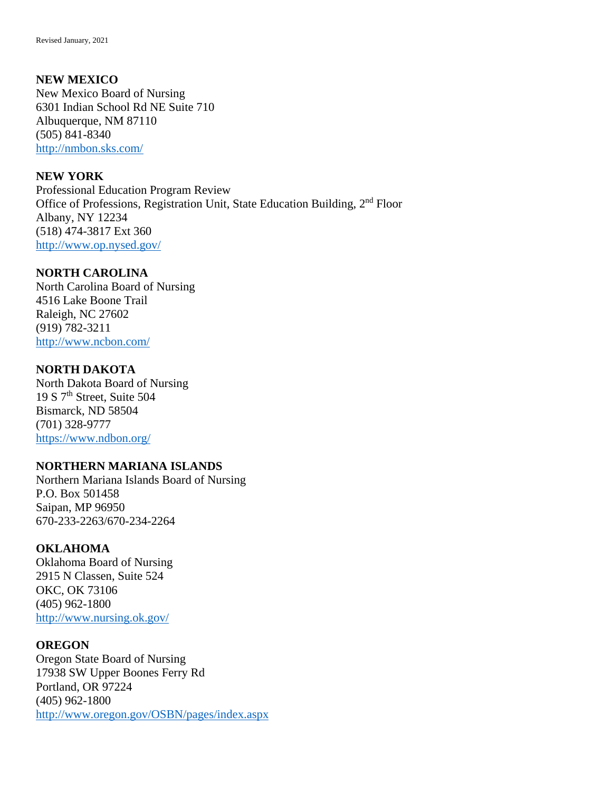#### **NEW MEXICO**

New Mexico Board of Nursing 6301 Indian School Rd NE Suite 710 Albuquerque, NM 87110 (505) 841-8340 <http://nmbon.sks.com/>

#### **NEW YORK**

Professional Education Program Review Office of Professions, Registration Unit, State Education Building, 2nd Floor Albany, NY 12234 (518) 474-3817 Ext 360 <http://www.op.nysed.gov/>

#### **NORTH CAROLINA**

North Carolina Board of Nursing 4516 Lake Boone Trail Raleigh, NC 27602 (919) 782-3211 <http://www.ncbon.com/>

#### **NORTH DAKOTA**

North Dakota Board of Nursing 19 S 7th Street, Suite 504 Bismarck, ND 58504 (701) 328-9777 <https://www.ndbon.org/>

#### **NORTHERN MARIANA ISLANDS**

Northern Mariana Islands Board of Nursing P.O. Box 501458 Saipan, MP 96950 670-233-2263/670-234-2264

#### **OKLAHOMA**

Oklahoma Board of Nursing 2915 N Classen, Suite 524 OKC, OK 73106 (405) 962-1800 <http://www.nursing.ok.gov/>

#### **OREGON**

Oregon State Board of Nursing 17938 SW Upper Boones Ferry Rd Portland, OR 97224 (405) 962-1800 <http://www.oregon.gov/OSBN/pages/index.aspx>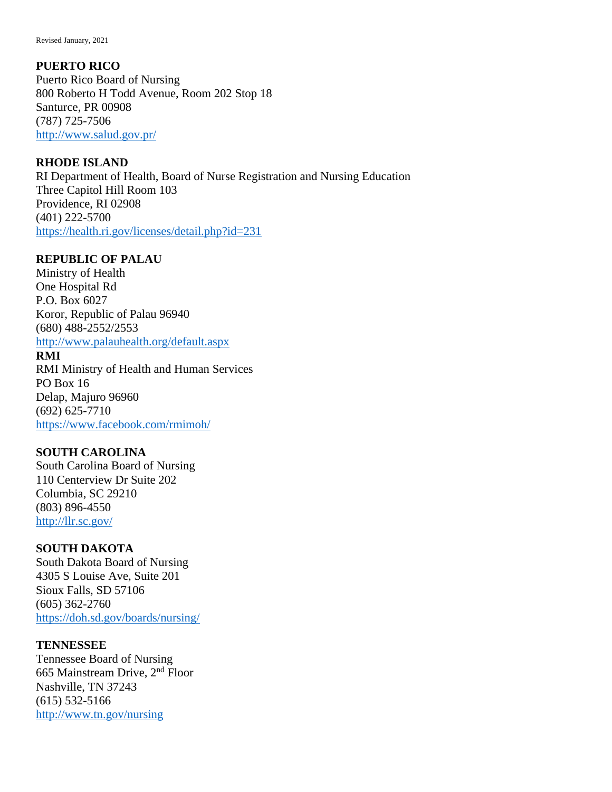## **PUERTO RICO**

Puerto Rico Board of Nursing 800 Roberto H Todd Avenue, Room 202 Stop 18 Santurce, PR 00908 (787) 725-7506 <http://www.salud.gov.pr/>

## **RHODE ISLAND**

RI Department of Health, Board of Nurse Registration and Nursing Education Three Capitol Hill Room 103 Providence, RI 02908 (401) 222-5700 <https://health.ri.gov/licenses/detail.php?id=231>

## **REPUBLIC OF PALAU**

Ministry of Health One Hospital Rd P.O. Box 6027 Koror, Republic of Palau 96940 (680) 488-2552/2553 <http://www.palauhealth.org/default.aspx>

#### **RMI**

RMI Ministry of Health and Human Services PO Box 16 Delap, Majuro 96960 (692) 625-7710 <https://www.facebook.com/rmimoh/>

## **SOUTH CAROLINA**

South Carolina Board of Nursing 110 Centerview Dr Suite 202 Columbia, SC 29210 (803) 896-4550 <http://llr.sc.gov/>

## **SOUTH DAKOTA**

South Dakota Board of Nursing 4305 S Louise Ave, Suite 201 Sioux Falls, SD 57106 (605) 362-2760 <https://doh.sd.gov/boards/nursing/>

## **TENNESSEE**

Tennessee Board of Nursing 665 Mainstream Drive, 2nd Floor Nashville, TN 37243 (615) 532-5166 <http://www.tn.gov/nursing>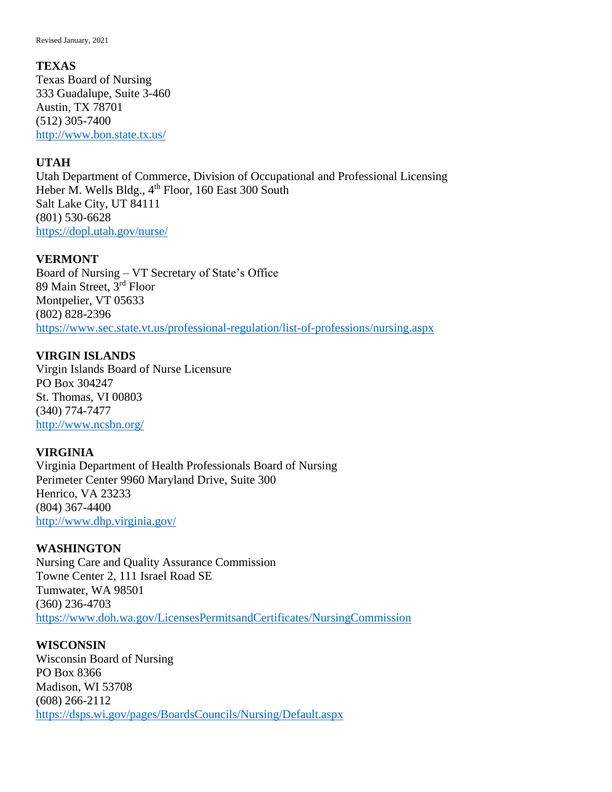#### **TEXAS**

Texas Board of Nursing 333 Guadalupe, Suite 3-460 Austin, TX 78701 (512) 305-7400 <http://www.bon.state.tx.us/>

## **UTAH**

Utah Department of Commerce, Division of Occupational and Professional Licensing Heber M. Wells Bldg., 4<sup>th</sup> Floor, 160 East 300 South Salt Lake City, UT 84111 (801) 530-6628 <https://dopl.utah.gov/nurse/>

## **VERMONT**

Board of Nursing – VT Secretary of State's Office 89 Main Street, 3rd Floor Montpelier, VT 05633 (802) 828-2396 <https://www.sec.state.vt.us/professional-regulation/list-of-professions/nursing.aspx>

## **VIRGIN ISLANDS**

Virgin Islands Board of Nurse Licensure PO Box 304247 St. Thomas, VI 00803 (340) 774-7477 <http://www.ncsbn.org/>

## **VIRGINIA**

Virginia Department of Health Professionals Board of Nursing Perimeter Center 9960 Maryland Drive, Suite 300 Henrico, VA 23233 (804) 367-4400 <http://www.dhp.virginia.gov/>

## **WASHINGTON** Nursing Care and Quality Assurance Commission Towne Center 2, 111 Israel Road SE Tumwater, WA 98501 (360) 236-4703 <https://www.doh.wa.gov/LicensesPermitsandCertificates/NursingCommission>

#### **WISCONSIN**

Wisconsin Board of Nursing PO Box 8366 Madison, WI 53708 (608) 266-2112 <https://dsps.wi.gov/pages/BoardsCouncils/Nursing/Default.aspx>